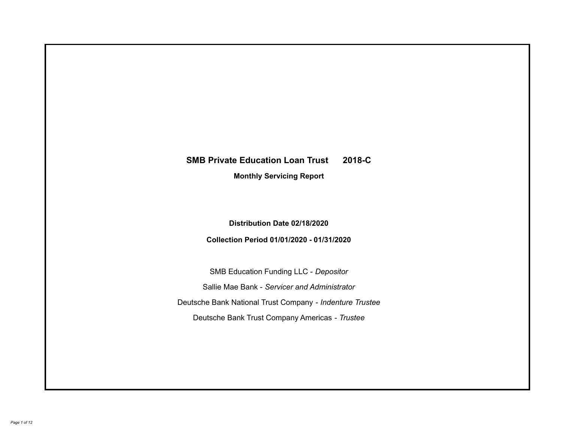# **SMB Private Education Loan Trust 2018-C Monthly Servicing Report**

## **Distribution Date 02/18/2020**

## **Collection Period 01/01/2020 - 01/31/2020**

SMB Education Funding LLC - *Depositor* Sallie Mae Bank - *Servicer and Administrator* Deutsche Bank National Trust Company - *Indenture Trustee* Deutsche Bank Trust Company Americas - *Trustee*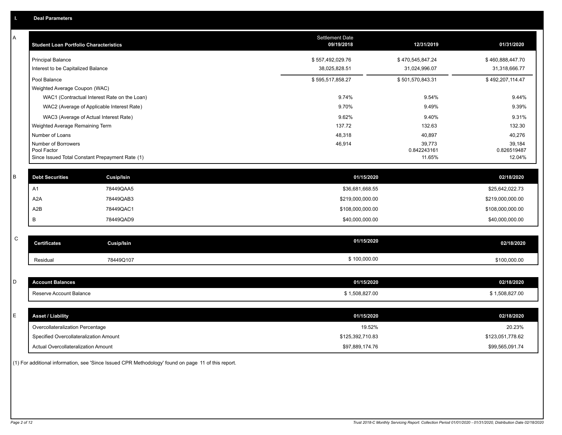| Α | <b>Student Loan Portfolio Characteristics</b>   |                                              | Settlement Date<br>09/19/2018 | 12/31/2019            | 01/31/2020            |
|---|-------------------------------------------------|----------------------------------------------|-------------------------------|-----------------------|-----------------------|
|   | <b>Principal Balance</b>                        |                                              | \$557,492,029.76              | \$470,545,847.24      | \$460,888,447.70      |
|   | Interest to be Capitalized Balance              |                                              | 38,025,828.51                 | 31,024,996.07         | 31,318,666.77         |
|   | Pool Balance                                    |                                              | \$595,517,858.27              | \$501,570,843.31      | \$492,207,114.47      |
|   | Weighted Average Coupon (WAC)                   |                                              |                               |                       |                       |
|   |                                                 | WAC1 (Contractual Interest Rate on the Loan) | 9.74%                         | 9.54%                 | 9.44%                 |
|   |                                                 | WAC2 (Average of Applicable Interest Rate)   | 9.70%                         | 9.49%                 | 9.39%                 |
|   |                                                 | WAC3 (Average of Actual Interest Rate)       | 9.62%                         | 9.40%                 | 9.31%                 |
|   | Weighted Average Remaining Term                 |                                              | 137.72                        | 132.63                | 132.30                |
|   | Number of Loans                                 |                                              | 48,318                        | 40,897                | 40,276                |
|   | Number of Borrowers<br>Pool Factor              |                                              | 46,914                        | 39,773<br>0.842243161 | 39,184<br>0.826519487 |
|   | Since Issued Total Constant Prepayment Rate (1) |                                              |                               | 11.65%                | 12.04%                |
|   |                                                 |                                              |                               |                       |                       |
| B | <b>Debt Securities</b>                          | Cusip/Isin                                   | 01/15/2020                    |                       | 02/18/2020            |
|   | A <sub>1</sub>                                  | 78449QAA5                                    | \$36,681,668.55               |                       | \$25,642,022.73       |
|   | A <sub>2</sub> A                                | 78449QAB3                                    | \$219,000,000.00              |                       | \$219,000,000.00      |
|   | A <sub>2</sub> B                                | 78449QAC1                                    | \$108,000,000.00              |                       | \$108,000,000.00      |
|   | B                                               | 78449QAD9                                    | \$40,000,000.00               |                       | \$40,000,000.00       |
|   |                                                 |                                              |                               |                       |                       |
| C | <b>Certificates</b>                             | <b>Cusip/Isin</b>                            | 01/15/2020                    |                       | 02/18/2020            |
|   | Residual                                        | 78449Q107                                    | \$100,000.00                  |                       | \$100,000.00          |
|   |                                                 |                                              |                               |                       |                       |
| D | <b>Account Balances</b>                         |                                              | 01/15/2020                    |                       | 02/18/2020            |
|   | Reserve Account Balance                         |                                              | \$1,508,827.00                |                       | \$1,508,827.00        |
|   |                                                 |                                              |                               |                       |                       |
| E | <b>Asset / Liability</b>                        |                                              | 01/15/2020                    |                       | 02/18/2020            |
|   | Overcollateralization Percentage                |                                              | 19.52%                        |                       | 20.23%                |
|   | Specified Overcollateralization Amount          |                                              | \$125,392,710.83              |                       | \$123,051,778.62      |
|   | Actual Overcollateralization Amount             |                                              | \$97.889.174.76               |                       | \$99.565.091.74       |

(1) For additional information, see 'Since Issued CPR Methodology' found on page 11 of this report.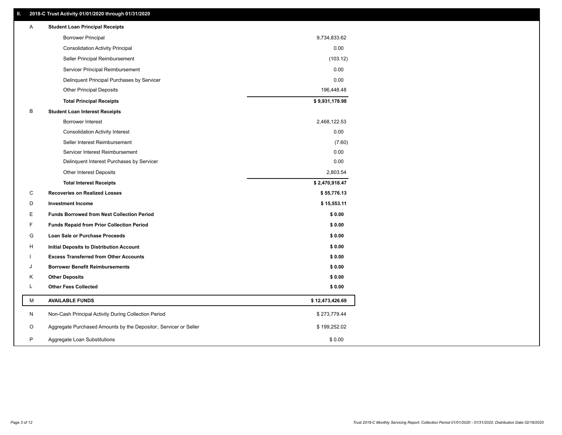### **II. 2018-C Trust Activity 01/01/2020 through 01/31/2020**

| <b>Borrower Principal</b><br>9,734,833.62                                             |  |
|---------------------------------------------------------------------------------------|--|
|                                                                                       |  |
| 0.00<br><b>Consolidation Activity Principal</b>                                       |  |
| (103.12)<br>Seller Principal Reimbursement                                            |  |
| 0.00<br>Servicer Principal Reimbursement                                              |  |
| 0.00<br>Delinquent Principal Purchases by Servicer                                    |  |
| <b>Other Principal Deposits</b><br>196,448.48                                         |  |
| \$9,931,178.98<br><b>Total Principal Receipts</b>                                     |  |
| B<br><b>Student Loan Interest Receipts</b>                                            |  |
| Borrower Interest<br>2,468,122.53                                                     |  |
| 0.00<br><b>Consolidation Activity Interest</b>                                        |  |
| Seller Interest Reimbursement<br>(7.60)                                               |  |
| 0.00<br>Servicer Interest Reimbursement                                               |  |
| 0.00<br>Delinquent Interest Purchases by Servicer                                     |  |
| 2,803.54<br><b>Other Interest Deposits</b>                                            |  |
| \$2,470,918.47<br><b>Total Interest Receipts</b>                                      |  |
| C<br><b>Recoveries on Realized Losses</b><br>\$55,776.13                              |  |
| D<br><b>Investment Income</b><br>\$15,553.11                                          |  |
| Е<br><b>Funds Borrowed from Next Collection Period</b><br>\$0.00                      |  |
| F.<br>\$0.00<br><b>Funds Repaid from Prior Collection Period</b>                      |  |
| G<br>\$0.00<br>Loan Sale or Purchase Proceeds                                         |  |
| \$0.00<br>н<br>Initial Deposits to Distribution Account                               |  |
| <b>Excess Transferred from Other Accounts</b><br>\$0.00                               |  |
| \$0.00<br><b>Borrower Benefit Reimbursements</b><br>J                                 |  |
| Κ<br><b>Other Deposits</b><br>\$0.00                                                  |  |
| L<br><b>Other Fees Collected</b><br>\$0.00                                            |  |
| М<br><b>AVAILABLE FUNDS</b><br>\$12,473,426.69                                        |  |
| N<br>Non-Cash Principal Activity During Collection Period<br>\$273,779.44             |  |
| Aggregate Purchased Amounts by the Depositor, Servicer or Seller<br>O<br>\$199,252.02 |  |
| P<br>\$0.00<br>Aggregate Loan Substitutions                                           |  |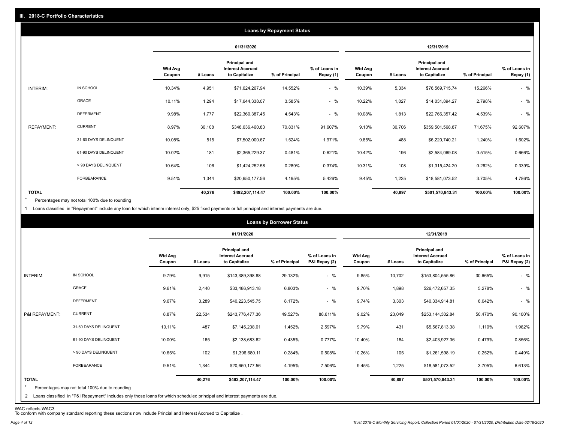|                   |                       |                          |         |                                                                  | <b>Loans by Repayment Status</b> |                            |                          |         |                                                           |                |                            |
|-------------------|-----------------------|--------------------------|---------|------------------------------------------------------------------|----------------------------------|----------------------------|--------------------------|---------|-----------------------------------------------------------|----------------|----------------------------|
|                   |                       |                          |         | 01/31/2020                                                       |                                  |                            |                          |         | 12/31/2019                                                |                |                            |
|                   |                       | <b>Wtd Avg</b><br>Coupon | # Loans | <b>Principal and</b><br><b>Interest Accrued</b><br>to Capitalize | % of Principal                   | % of Loans in<br>Repay (1) | <b>Wtd Avg</b><br>Coupon | # Loans | Principal and<br><b>Interest Accrued</b><br>to Capitalize | % of Principal | % of Loans in<br>Repay (1) |
| INTERIM:          | IN SCHOOL             | 10.34%                   | 4,951   | \$71,624,267.94                                                  | 14.552%                          | $-$ %                      | 10.39%                   | 5,334   | \$76,569,715.74                                           | 15.266%        | $-$ %                      |
|                   | <b>GRACE</b>          | 10.11%                   | 1,294   | \$17,644,338.07                                                  | 3.585%                           | $-$ %                      | 10.22%                   | 1,027   | \$14,031,894.27                                           | 2.798%         | $-$ %                      |
|                   | <b>DEFERMENT</b>      | 9.98%                    | 1,777   | \$22,360,387.45                                                  | 4.543%                           | $-$ %                      | 10.08%                   | 1,813   | \$22,766,357.42                                           | 4.539%         | $-$ %                      |
| <b>REPAYMENT:</b> | <b>CURRENT</b>        | 8.97%                    | 30,108  | \$348,636,460.83                                                 | 70.831%                          | 91.607%                    | 9.10%                    | 30,706  | \$359,501,568.87                                          | 71.675%        | 92.607%                    |
|                   | 31-60 DAYS DELINQUENT | 10.08%                   | 515     | \$7,502,000.67                                                   | 1.524%                           | 1.971%                     | 9.85%                    | 488     | \$6,220,740.21                                            | 1.240%         | 1.602%                     |
|                   | 61-90 DAYS DELINQUENT | 10.02%                   | 181     | \$2,365,229.37                                                   | 0.481%                           | 0.621%                     | 10.42%                   | 196     | \$2,584,069.08                                            | 0.515%         | 0.666%                     |
|                   | > 90 DAYS DELINQUENT  | 10.64%                   | 106     | \$1,424,252.58                                                   | 0.289%                           | 0.374%                     | 10.31%                   | 108     | \$1,315,424.20                                            | 0.262%         | 0.339%                     |
|                   | FORBEARANCE           | 9.51%                    | 1,344   | \$20,650,177.56                                                  | 4.195%                           | 5.426%                     | 9.45%                    | 1,225   | \$18,581,073.52                                           | 3.705%         | 4.786%                     |
| <b>TOTAL</b>      |                       |                          | 40,276  | \$492,207,114.47                                                 | 100.00%                          | 100.00%                    |                          | 40,897  | \$501,570,843.31                                          | 100.00%        | 100.00%                    |

Percentages may not total 100% due to rounding  $\star$ 

1 Loans classified in "Repayment" include any loan for which interim interest only, \$25 fixed payments or full principal and interest payments are due.

|                                |                                                                                                                                                                              |                          |         |                                                           | <b>Loans by Borrower Status</b> |                                |                          |         |                                                                  |                |                                |
|--------------------------------|------------------------------------------------------------------------------------------------------------------------------------------------------------------------------|--------------------------|---------|-----------------------------------------------------------|---------------------------------|--------------------------------|--------------------------|---------|------------------------------------------------------------------|----------------|--------------------------------|
|                                |                                                                                                                                                                              |                          |         | 01/31/2020                                                |                                 |                                |                          |         | 12/31/2019                                                       |                |                                |
|                                |                                                                                                                                                                              | <b>Wtd Avg</b><br>Coupon | # Loans | Principal and<br><b>Interest Accrued</b><br>to Capitalize | % of Principal                  | % of Loans in<br>P&I Repay (2) | <b>Wtd Avg</b><br>Coupon | # Loans | <b>Principal and</b><br><b>Interest Accrued</b><br>to Capitalize | % of Principal | % of Loans in<br>P&I Repay (2) |
| <b>INTERIM:</b>                | IN SCHOOL                                                                                                                                                                    | 9.79%                    | 9,915   | \$143,389,398.88                                          | 29.132%                         | $-$ %                          | 9.85%                    | 10,702  | \$153,804,555.86                                                 | 30.665%        | $-$ %                          |
|                                | <b>GRACE</b>                                                                                                                                                                 | 9.61%                    | 2,440   | \$33,486,913.18                                           | 6.803%                          | $-$ %                          | 9.70%                    | 1,898   | \$26,472,657.35                                                  | 5.278%         | $-$ %                          |
|                                | <b>DEFERMENT</b>                                                                                                                                                             | 9.67%                    | 3,289   | \$40,223,545.75                                           | 8.172%                          | $-$ %                          | 9.74%                    | 3,303   | \$40,334,914.81                                                  | 8.042%         | $-$ %                          |
| P&I REPAYMENT:                 | <b>CURRENT</b>                                                                                                                                                               | 8.87%                    | 22,534  | \$243,776,477.36                                          | 49.527%                         | 88.611%                        | 9.02%                    | 23,049  | \$253,144,302.84                                                 | 50.470%        | 90.100%                        |
|                                | 31-60 DAYS DELINQUENT                                                                                                                                                        | 10.11%                   | 487     | \$7,145,238.01                                            | 1.452%                          | 2.597%                         | 9.79%                    | 431     | \$5,567,813.38                                                   | 1.110%         | 1.982%                         |
|                                | 61-90 DAYS DELINQUENT                                                                                                                                                        | 10.00%                   | 165     | \$2,138,683.62                                            | 0.435%                          | 0.777%                         | 10.40%                   | 184     | \$2,403,927.36                                                   | 0.479%         | 0.856%                         |
|                                | > 90 DAYS DELINQUENT                                                                                                                                                         | 10.65%                   | 102     | \$1,396,680.11                                            | 0.284%                          | 0.508%                         | 10.26%                   | 105     | \$1,261,598.19                                                   | 0.252%         | 0.449%                         |
|                                | FORBEARANCE                                                                                                                                                                  | 9.51%                    | 1,344   | \$20,650,177.56                                           | 4.195%                          | 7.506%                         | 9.45%                    | 1,225   | \$18,581,073.52                                                  | 3.705%         | 6.613%                         |
| <b>TOTAL</b><br>$\overline{2}$ | Percentages may not total 100% due to rounding<br>Loans classified in "P&I Repayment" includes only those loans for which scheduled principal and interest payments are due. |                          | 40,276  | \$492,207,114.47                                          | 100.00%                         | 100.00%                        |                          | 40,897  | \$501,570,843.31                                                 | 100.00%        | 100.00%                        |

WAC reflects WAC3 To conform with company standard reporting these sections now include Princial and Interest Accrued to Capitalize .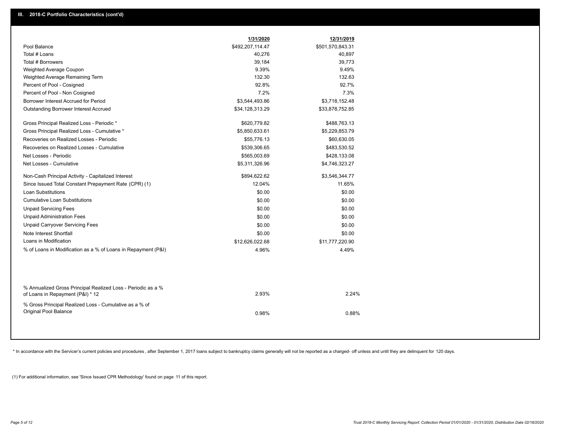|                                                                                                  | 1/31/2020        | 12/31/2019       |  |
|--------------------------------------------------------------------------------------------------|------------------|------------------|--|
| Pool Balance                                                                                     | \$492,207,114.47 | \$501,570,843.31 |  |
| Total # Loans                                                                                    | 40,276           | 40,897           |  |
| Total # Borrowers                                                                                | 39,184           | 39,773           |  |
| Weighted Average Coupon                                                                          | 9.39%            | 9.49%            |  |
| Weighted Average Remaining Term                                                                  | 132.30           | 132.63           |  |
| Percent of Pool - Cosigned                                                                       | 92.8%            | 92.7%            |  |
| Percent of Pool - Non Cosigned                                                                   | 7.2%             | 7.3%             |  |
| Borrower Interest Accrued for Period                                                             | \$3,544,493.86   | \$3,718,152.48   |  |
| Outstanding Borrower Interest Accrued                                                            | \$34,128,313.29  | \$33,878,752.85  |  |
| Gross Principal Realized Loss - Periodic *                                                       | \$620,779.82     | \$488,763.13     |  |
| Gross Principal Realized Loss - Cumulative *                                                     | \$5,850,633.61   | \$5,229,853.79   |  |
| Recoveries on Realized Losses - Periodic                                                         | \$55,776.13      | \$60,630.05      |  |
| Recoveries on Realized Losses - Cumulative                                                       | \$539,306.65     | \$483,530.52     |  |
| Net Losses - Periodic                                                                            | \$565,003.69     | \$428,133.08     |  |
| Net Losses - Cumulative                                                                          | \$5,311,326.96   | \$4,746,323.27   |  |
| Non-Cash Principal Activity - Capitalized Interest                                               | \$894,622.62     | \$3,546,344.77   |  |
| Since Issued Total Constant Prepayment Rate (CPR) (1)                                            | 12.04%           | 11.65%           |  |
| <b>Loan Substitutions</b>                                                                        | \$0.00           | \$0.00           |  |
| <b>Cumulative Loan Substitutions</b>                                                             | \$0.00           | \$0.00           |  |
| <b>Unpaid Servicing Fees</b>                                                                     | \$0.00           | \$0.00           |  |
| <b>Unpaid Administration Fees</b>                                                                | \$0.00           | \$0.00           |  |
| <b>Unpaid Carryover Servicing Fees</b>                                                           | \$0.00           | \$0.00           |  |
| Note Interest Shortfall                                                                          | \$0.00           | \$0.00           |  |
| Loans in Modification                                                                            | \$12,626,022.68  | \$11,777,220.90  |  |
| % of Loans in Modification as a % of Loans in Repayment (P&I)                                    | 4.96%            | 4.49%            |  |
|                                                                                                  |                  |                  |  |
| % Annualized Gross Principal Realized Loss - Periodic as a %<br>of Loans in Repayment (P&I) * 12 | 2.93%            | 2.24%            |  |
| % Gross Principal Realized Loss - Cumulative as a % of<br>Original Pool Balance                  | 0.98%            | 0.88%            |  |

\* In accordance with the Servicer's current policies and procedures, after September 1, 2017 loans subject to bankruptcy claims generally will not be reported as a charged- off unless and until they are delinquent for 120

(1) For additional information, see 'Since Issued CPR Methodology' found on page 11 of this report.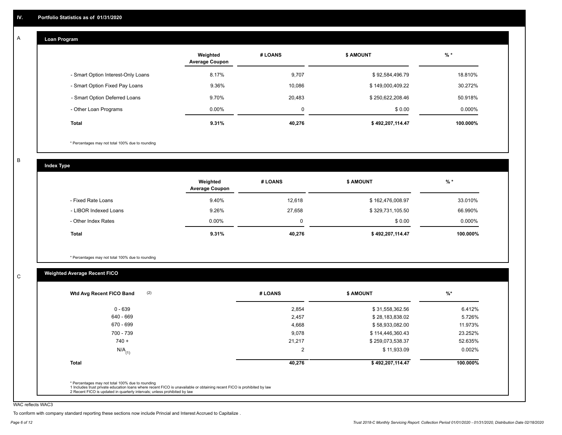#### **Loan Program**  A

|                                    | Weighted<br><b>Average Coupon</b> | # LOANS | <b>\$ AMOUNT</b> | $%$ *    |
|------------------------------------|-----------------------------------|---------|------------------|----------|
| - Smart Option Interest-Only Loans | 8.17%                             | 9,707   | \$92,584,496.79  | 18.810%  |
| - Smart Option Fixed Pay Loans     | 9.36%                             | 10,086  | \$149,000,409.22 | 30.272%  |
| - Smart Option Deferred Loans      | 9.70%                             | 20,483  | \$250,622,208.46 | 50.918%  |
| - Other Loan Programs              | $0.00\%$                          | 0       | \$0.00           | 0.000%   |
| <b>Total</b>                       | 9.31%                             | 40,276  | \$492,207,114.47 | 100.000% |

\* Percentages may not total 100% due to rounding

B

C

**Index Type**

|                       | Weighted<br><b>Average Coupon</b> | # LOANS | <b>S AMOUNT</b>  | $%$ *     |
|-----------------------|-----------------------------------|---------|------------------|-----------|
| - Fixed Rate Loans    | 9.40%                             | 12,618  | \$162,476,008.97 | 33.010%   |
| - LIBOR Indexed Loans | 9.26%                             | 27,658  | \$329,731,105.50 | 66.990%   |
| - Other Index Rates   | $0.00\%$                          | 0       | \$0.00           | $0.000\%$ |
| Total                 | 9.31%                             | 40,276  | \$492,207,114.47 | 100.000%  |

\* Percentages may not total 100% due to rounding

### **Weighted Average Recent FICO**

| $0 - 639$            | 2,854          | \$31,558,362.56  | 6.412%    |
|----------------------|----------------|------------------|-----------|
| 640 - 669            | 2,457          | \$28,183,838.02  | 5.726%    |
| 670 - 699            | 4,668          | \$58,933,082.00  | 11.973%   |
| 700 - 739            | 9,078          | \$114,446,360.43 | 23.252%   |
| $740 +$              | 21,217         | \$259,073,538.37 | 52.635%   |
| $N/A$ <sub>(1)</sub> | $\overline{2}$ | \$11,933.09      | $0.002\%$ |
| <b>Total</b>         | 40,276         | \$492,207,114.47 | 100.000%  |
|                      |                |                  |           |

WAC reflects WAC3

To conform with company standard reporting these sections now include Princial and Interest Accrued to Capitalize .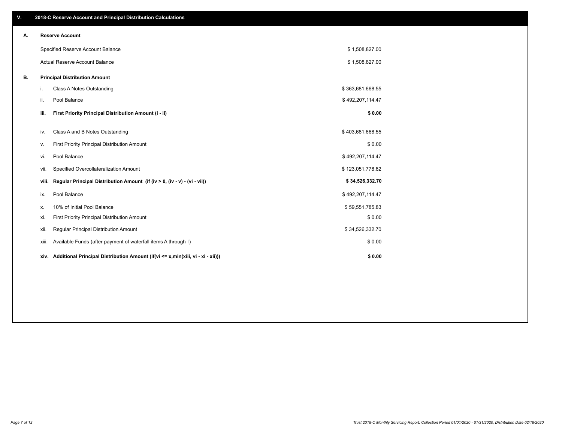| V. |       | 2018-C Reserve Account and Principal Distribution Calculations                       |                  |  |
|----|-------|--------------------------------------------------------------------------------------|------------------|--|
| А. |       | <b>Reserve Account</b>                                                               |                  |  |
|    |       | Specified Reserve Account Balance                                                    | \$1,508,827.00   |  |
|    |       | Actual Reserve Account Balance                                                       | \$1,508,827.00   |  |
| В. |       | <b>Principal Distribution Amount</b>                                                 |                  |  |
|    | j.    | Class A Notes Outstanding                                                            | \$363,681,668.55 |  |
|    | ii.   | Pool Balance                                                                         | \$492,207,114.47 |  |
|    | iii.  | First Priority Principal Distribution Amount (i - ii)                                | \$0.00           |  |
|    | iv.   | Class A and B Notes Outstanding                                                      | \$403,681,668.55 |  |
|    |       |                                                                                      |                  |  |
|    | v.    | First Priority Principal Distribution Amount                                         | \$0.00           |  |
|    | vi.   | Pool Balance                                                                         | \$492,207,114.47 |  |
|    | vii.  | Specified Overcollateralization Amount                                               | \$123,051,778.62 |  |
|    | viii. | Regular Principal Distribution Amount (if (iv > 0, (iv - v) - (vi - vii))            | \$34,526,332.70  |  |
|    | ix.   | Pool Balance                                                                         | \$492,207,114.47 |  |
|    | Х.    | 10% of Initial Pool Balance                                                          | \$59,551,785.83  |  |
|    | xi.   | First Priority Principal Distribution Amount                                         | \$0.00           |  |
|    | xii.  | Regular Principal Distribution Amount                                                | \$34,526,332.70  |  |
|    | xiii. | Available Funds (after payment of waterfall items A through I)                       | \$0.00           |  |
|    |       | xiv. Additional Principal Distribution Amount (if(vi <= x,min(xiii, vi - xi - xii))) | \$0.00           |  |
|    |       |                                                                                      |                  |  |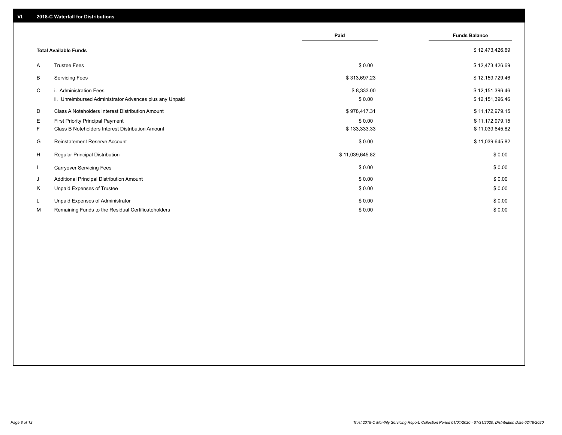|                          |                                                         | Paid            | <b>Funds Balance</b> |
|--------------------------|---------------------------------------------------------|-----------------|----------------------|
|                          | <b>Total Available Funds</b>                            |                 | \$12,473,426.69      |
| A                        | <b>Trustee Fees</b>                                     | \$0.00          | \$12,473,426.69      |
| В                        | <b>Servicing Fees</b>                                   | \$313,697.23    | \$12,159,729.46      |
| C                        | i. Administration Fees                                  | \$8,333.00      | \$12,151,396.46      |
|                          | ii. Unreimbursed Administrator Advances plus any Unpaid | \$0.00          | \$12,151,396.46      |
| D                        | Class A Noteholders Interest Distribution Amount        | \$978,417.31    | \$11,172,979.15      |
| Е                        | <b>First Priority Principal Payment</b>                 | \$0.00          | \$11,172,979.15      |
| F.                       | Class B Noteholders Interest Distribution Amount        | \$133,333.33    | \$11,039,645.82      |
| G                        | <b>Reinstatement Reserve Account</b>                    | \$0.00          | \$11,039,645.82      |
| H                        | <b>Regular Principal Distribution</b>                   | \$11,039,645.82 | \$0.00               |
| $\overline{\phantom{a}}$ | <b>Carryover Servicing Fees</b>                         | \$0.00          | \$0.00               |
| J                        | Additional Principal Distribution Amount                | \$0.00          | \$0.00               |
| Κ                        | Unpaid Expenses of Trustee                              | \$0.00          | \$0.00               |
| L                        | Unpaid Expenses of Administrator                        | \$0.00          | \$0.00               |
| М                        | Remaining Funds to the Residual Certificateholders      | \$0.00          | \$0.00               |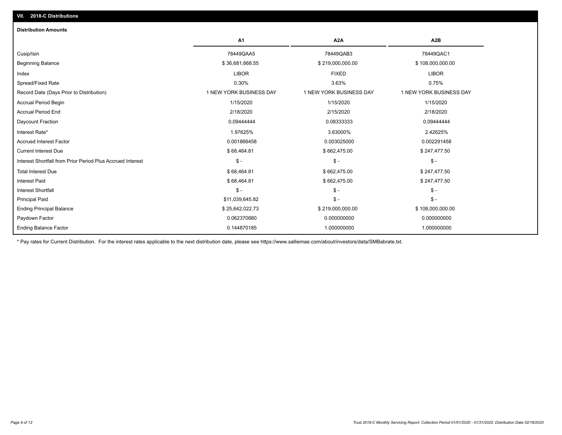| <b>Distribution Amounts</b>                                |                         |                         |                         |
|------------------------------------------------------------|-------------------------|-------------------------|-------------------------|
|                                                            | A <sub>1</sub>          | A <sub>2</sub> A        | A <sub>2</sub> B        |
| Cusip/Isin                                                 | 78449QAA5               | 78449QAB3               | 78449QAC1               |
| <b>Beginning Balance</b>                                   | \$36,681,668.55         | \$219,000,000.00        | \$108,000,000.00        |
| Index                                                      | <b>LIBOR</b>            | <b>FIXED</b>            | <b>LIBOR</b>            |
| Spread/Fixed Rate                                          | 0.30%                   | 3.63%                   | 0.75%                   |
| Record Date (Days Prior to Distribution)                   | 1 NEW YORK BUSINESS DAY | 1 NEW YORK BUSINESS DAY | 1 NEW YORK BUSINESS DAY |
| <b>Accrual Period Begin</b>                                | 1/15/2020               | 1/15/2020               | 1/15/2020               |
| <b>Accrual Period End</b>                                  | 2/18/2020               | 2/15/2020               | 2/18/2020               |
| Daycount Fraction                                          | 0.09444444              | 0.08333333              | 0.09444444              |
| Interest Rate*                                             | 1.97625%                | 3.63000%                | 2.42625%                |
| <b>Accrued Interest Factor</b>                             | 0.001866458             | 0.003025000             | 0.002291458             |
| <b>Current Interest Due</b>                                | \$68,464.81             | \$662,475.00            | \$247,477.50            |
| Interest Shortfall from Prior Period Plus Accrued Interest | $\mathsf{\$}$ -         | $\mathcal{S}$ -         | $\mathcal{S}$ -         |
| <b>Total Interest Due</b>                                  | \$68,464.81             | \$662,475.00            | \$247,477.50            |
| <b>Interest Paid</b>                                       | \$68,464.81             | \$662,475.00            | \$247,477.50            |
| Interest Shortfall                                         | $\mathsf{\$}$ -         | $\mathsf{\$}$ -         | $$ -$                   |
| <b>Principal Paid</b>                                      | \$11,039,645.82         | $\mathsf{\$}$ -         | $$ -$                   |
| <b>Ending Principal Balance</b>                            | \$25,642,022.73         | \$219,000,000.00        | \$108,000,000.00        |
| Paydown Factor                                             | 0.062370880             | 0.000000000             | 0.000000000             |
| <b>Ending Balance Factor</b>                               | 0.144870185             | 1.000000000             | 1.000000000             |

\* Pay rates for Current Distribution. For the interest rates applicable to the next distribution date, please see https://www.salliemae.com/about/investors/data/SMBabrate.txt.

**VII. 2018-C Distributions**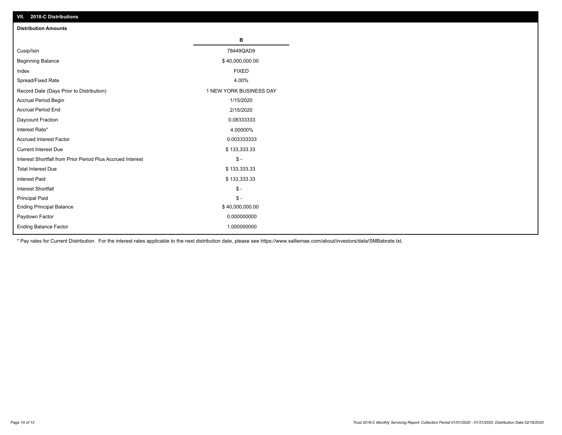| VII. 2018-C Distributions                                  |                         |
|------------------------------------------------------------|-------------------------|
| <b>Distribution Amounts</b>                                |                         |
|                                                            | В                       |
| Cusip/Isin                                                 | 78449QAD9               |
| <b>Beginning Balance</b>                                   | \$40,000,000.00         |
| Index                                                      | <b>FIXED</b>            |
| Spread/Fixed Rate                                          | 4.00%                   |
| Record Date (Days Prior to Distribution)                   | 1 NEW YORK BUSINESS DAY |
| Accrual Period Begin                                       | 1/15/2020               |
| <b>Accrual Period End</b>                                  | 2/15/2020               |
| Daycount Fraction                                          | 0.08333333              |
| Interest Rate*                                             | 4.00000%                |
| <b>Accrued Interest Factor</b>                             | 0.003333333             |
| <b>Current Interest Due</b>                                | \$133,333.33            |
| Interest Shortfall from Prior Period Plus Accrued Interest | $$ -$                   |
| <b>Total Interest Due</b>                                  | \$133,333.33            |
| <b>Interest Paid</b>                                       | \$133,333.33            |
| Interest Shortfall                                         | $\$ -                   |
| <b>Principal Paid</b>                                      | $\frac{1}{2}$           |
| <b>Ending Principal Balance</b>                            | \$40,000,000.00         |
| Paydown Factor                                             | 0.000000000             |
| <b>Ending Balance Factor</b>                               | 1.000000000             |

\* Pay rates for Current Distribution. For the interest rates applicable to the next distribution date, please see https://www.salliemae.com/about/investors/data/SMBabrate.txt.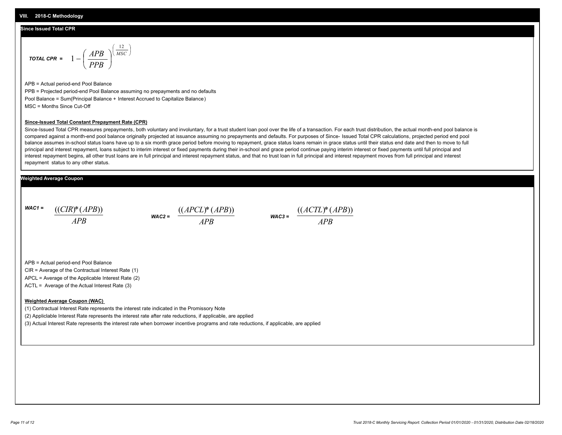#### **Since Issued Total CPR**

$$
\text{total CPR} = 1 - \left(\frac{APB}{PPB}\right)^{\left(\frac{12}{MSC}\right)}
$$

APB = Actual period-end Pool Balance PPB = Projected period-end Pool Balance assuming no prepayments and no defaults Pool Balance = Sum(Principal Balance + Interest Accrued to Capitalize Balance) MSC = Months Since Cut-Off

#### **Since-Issued Total Constant Prepayment Rate (CPR)**

Since-Issued Total CPR measures prepayments, both voluntary and involuntary, for a trust student loan pool over the life of a transaction. For each trust distribution, the actual month-end pool balance is compared against a month-end pool balance originally projected at issuance assuming no prepayments and defaults. For purposes of Since- Issued Total CPR calculations, projected period end pool balance assumes in-school status loans have up to a six month grace period before moving to repayment, grace status loans remain in grace status until their status end date and then to move to full principal and interest repayment, loans subject to interim interest or fixed payments during their in-school and grace period continue paying interim interest or fixed payments until full principal and interest repayment begins, all other trust loans are in full principal and interest repayment status, and that no trust loan in full principal and interest repayment moves from full principal and interest repayment status to any other status.

#### **Weighted Average Coupon**

*WAC1 = APB* ((*CIR*)\*(*APB*))

*WAC2 = APB*  $\frac{((APCL)^{*}(APB))}{APB}$  wac<sub>3</sub> =  $\frac{((ACTL)^{*}(A)P}{APB}$ 



APB = Actual period-end Pool Balance

CIR = Average of the Contractual Interest Rate (1)

APCL = Average of the Applicable Interest Rate (2)

ACTL = Average of the Actual Interest Rate (3)

#### **Weighted Average Coupon (WAC)**

(1) Contractual Interest Rate represents the interest rate indicated in the Promissory Note

(2) Appliclable Interest Rate represents the interest rate after rate reductions, if applicable, are applied

(3) Actual Interest Rate represents the interest rate when borrower incentive programs and rate reductions, if applicable, are applied